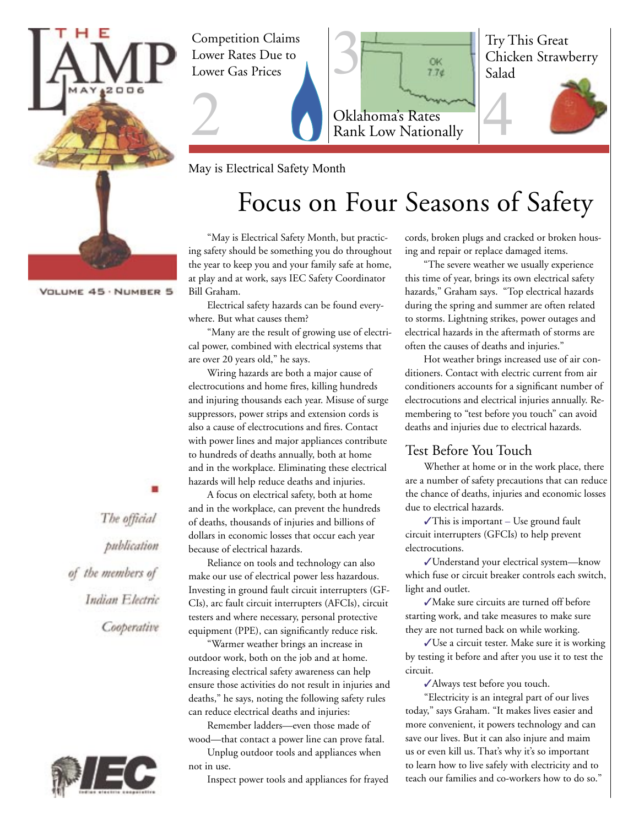

Competition Claims Lower Rates Due to Lower Gas Prices

2



May is Electrical Safety Month

# Focus on Four Seasons of Safety

"May is Electrical Safety Month, but practicing safety should be something you do throughout the year to keep you and your family safe at home, at play and at work, says IEC Safety Coordinator Bill Graham.

Electrical safety hazards can be found everywhere. But what causes them?

"Many are the result of growing use of electrical power, combined with electrical systems that are over 20 years old," he says.

Wiring hazards are both a major cause of electrocutions and home fires, killing hundreds and injuring thousands each year. Misuse of surge suppressors, power strips and extension cords is also a cause of electrocutions and fires. Contact with power lines and major appliances contribute to hundreds of deaths annually, both at home and in the workplace. Eliminating these electrical hazards will help reduce deaths and injuries.

A focus on electrical safety, both at home and in the workplace, can prevent the hundreds of deaths, thousands of injuries and billions of dollars in economic losses that occur each year because of electrical hazards.

Reliance on tools and technology can also make our use of electrical power less hazardous. Investing in ground fault circuit interrupters (GF-CIs), arc fault circuit interrupters (AFCIs), circuit testers and where necessary, personal protective equipment (PPE), can significantly reduce risk.

"Warmer weather brings an increase in outdoor work, both on the job and at home. Increasing electrical safety awareness can help ensure those activities do not result in injuries and deaths," he says, noting the following safety rules can reduce electrical deaths and injuries:

Remember ladders—even those made of wood—that contact a power line can prove fatal.

Unplug outdoor tools and appliances when not in use.

Inspect power tools and appliances for frayed

cords, broken plugs and cracked or broken housing and repair or replace damaged items.

"The severe weather we usually experience this time of year, brings its own electrical safety hazards," Graham says. "Top electrical hazards during the spring and summer are often related to storms. Lightning strikes, power outages and electrical hazards in the aftermath of storms are often the causes of deaths and injuries."

Hot weather brings increased use of air conditioners. Contact with electric current from air conditioners accounts for a significant number of electrocutions and electrical injuries annually. Remembering to "test before you touch" can avoid deaths and injuries due to electrical hazards.

#### Test Before You Touch

Whether at home or in the work place, there are a number of safety precautions that can reduce the chance of deaths, injuries and economic losses due to electrical hazards.

✓This is important – Use ground fault circuit interrupters (GFCIs) to help prevent electrocutions.

✓Understand your electrical system—know which fuse or circuit breaker controls each switch, light and outlet.

✓Make sure circuits are turned off before starting work, and take measures to make sure they are not turned back on while working.

✓Use a circuit tester. Make sure it is working by testing it before and after you use it to test the circuit.

✓Always test before you touch.

"Electricity is an integral part of our lives today," says Graham. "It makes lives easier and more convenient, it powers technology and can save our lives. But it can also injure and maim us or even kill us. That's why it's so important to learn how to live safely with electricity and to teach our families and co-workers how to do so."

VOLUME 45 · NUMBER 5

The official publication of the members of Indian Electric Cooperative

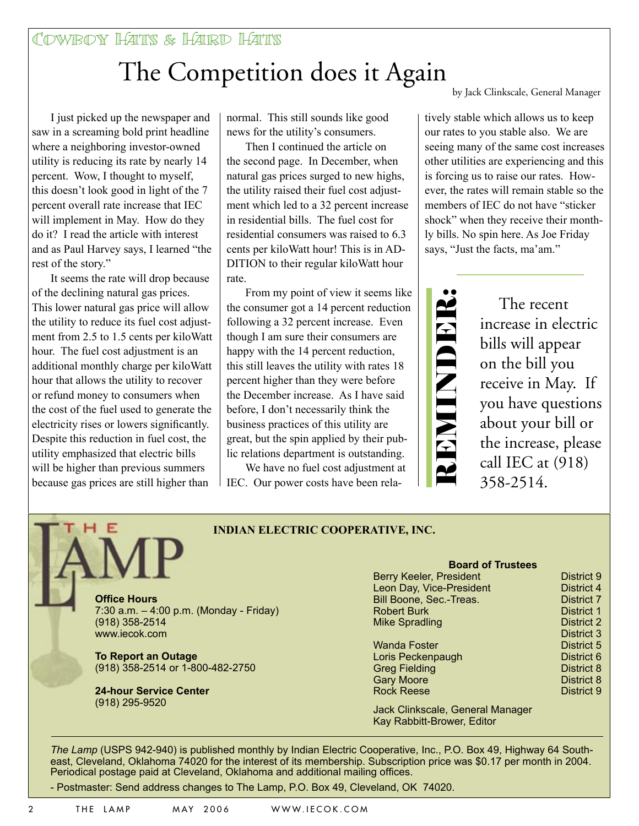#### Cowboy Hats & Hard Hats

# The Competition does it Again

I just picked up the newspaper and saw in a screaming bold print headline where a neighboring investor-owned utility is reducing its rate by nearly 14 percent. Wow, I thought to myself, this doesn't look good in light of the 7 percent overall rate increase that IEC will implement in May. How do they do it? I read the article with interest and as Paul Harvey says, I learned "the rest of the story."

It seems the rate will drop because of the declining natural gas prices. This lower natural gas price will allow the utility to reduce its fuel cost adjustment from 2.5 to 1.5 cents per kiloWatt hour. The fuel cost adjustment is an additional monthly charge per kiloWatt hour that allows the utility to recover or refund money to consumers when the cost of the fuel used to generate the electricity rises or lowers significantly. Despite this reduction in fuel cost, the utility emphasized that electric bills will be higher than previous summers because gas prices are still higher than

(918) 295-9520

normal. This still sounds like good news for the utility's consumers.

Then I continued the article on the second page. In December, when natural gas prices surged to new highs, the utility raised their fuel cost adjustment which led to a 32 percent increase in residential bills. The fuel cost for residential consumers was raised to 6.3 cents per kiloWatt hour! This is in AD-DITION to their regular kiloWatt hour rate.

From my point of view it seems like the consumer got a 14 percent reduction following a 32 percent increase. Even though I am sure their consumers are happy with the 14 percent reduction, this still leaves the utility with rates 18 percent higher than they were before the December increase. As I have said before, I don't necessarily think the business practices of this utility are great, but the spin applied by their public relations department is outstanding.

We have no fuel cost adjustment at IEC. Our power costs have been relaby Jack Clinkscale, General Manager

tively stable which allows us to keep our rates to you stable also. We are seeing many of the same cost increases other utilities are experiencing and this is forcing us to raise our rates. However, the rates will remain stable so the members of IEC do not have "sticker shock" when they receive their monthly bills. No spin here. As Joe Friday says, "Just the facts, ma'am."



The recent increase in electric bills will appear on the bill you receive in May. If you have questions about your bill or the increase, please call IEC at (918) 358-2514.

> **District 9** District 4 **District 7** District 1 District 2 District 3 District 5 District 6 District 8 District 8 District 9

| <b>INDIAN ELECTRIC COOPERATIVE, INC.</b>                                                              |                                                                                                                                                           |
|-------------------------------------------------------------------------------------------------------|-----------------------------------------------------------------------------------------------------------------------------------------------------------|
| <b>Office Hours</b><br>7:30 a.m. $-$ 4:00 p.m. (Monday - Friday)<br>$(918)$ 358-2514<br>www.iecok.com | <b>Board of Trustees</b><br>Berry Keeler, President<br>Leon Day, Vice-President<br>Bill Boone, Sec.-Treas.<br><b>Robert Burk</b><br><b>Mike Spradling</b> |
| <b>To Report an Outage</b><br>(918) 358-2514 or 1-800-482-2750                                        | <b>Wanda Foster</b><br>Loris Peckenpaugh<br><b>Greg Fielding</b><br><b>Gary Moore</b>                                                                     |
| <b>24-hour Service Center</b>                                                                         | <b>Rock Reese</b>                                                                                                                                         |

Jack Clinkscale, General Manager Kay Rabbitt-Brower, Editor

*The Lamp* (USPS 942-940) is published monthly by Indian Electric Cooperative, Inc., P.O. Box 49, Highway 64 Southeast, Cleveland, Oklahoma 74020 for the interest of its membership. Subscription price was \$0.17 per month in 2004. Periodical postage paid at Cleveland, Oklahoma and additional mailing offices.

- Postmaster: Send address changes to The Lamp, P.O. Box 49, Cleveland, OK 74020.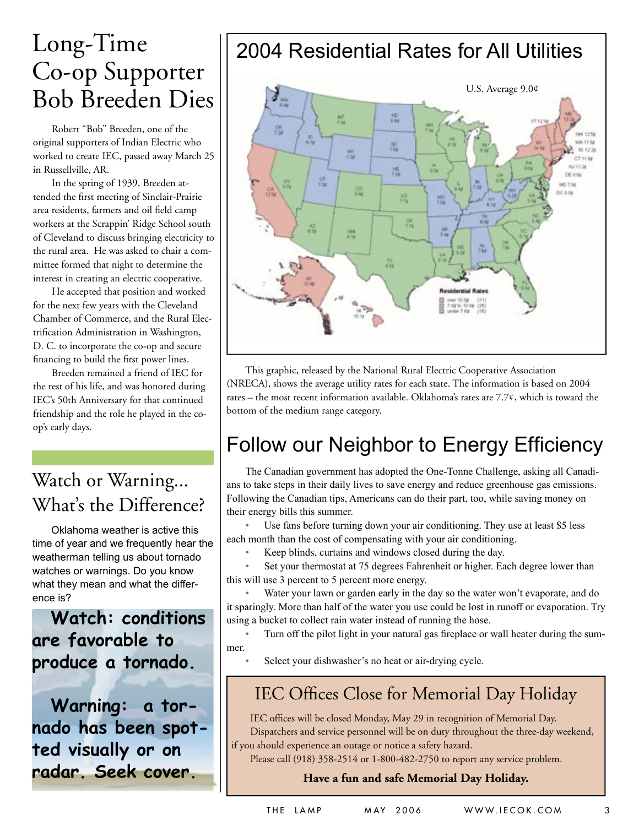# Long-Time Co-op Supporter Bob Breeden Dies

Robert "Bob" Breeden, one of the original supporters of Indian Electric who worked to create IEC, passed away March 25 in Russellville, AR.

In the spring of 1939, Breeden attended the first meeting of Sinclair-Prairie area residents, farmers and oil field camp workers at the Scrappin' Ridge School south of Cleveland to discuss bringing electricity to the rural area. He was asked to chair a committee formed that night to determine the interest in creating an electric cooperative.

He accepted that position and worked for the next few years with the Cleveland Chamber of Commerce, and the Rural Electrification Administration in Washington, D. C. to incorporate the co-op and secure financing to build the first power lines.

Breeden remained a friend of IEC for the rest of his life, and was honored during IEC's 50th Anniversary for that continued friendship and the role he played in the coop's early days.

### Watch or Warning... What's the Difference?

Oklahoma weather is active this time of year and we frequently hear the weatherman telling us about tornado watches or warnings. Do you know what they mean and what the difference is?

**Watch: conditions are favorable to produce a tornado.**

**Warning: a tornado has been spotted visually or on radar. Seek cover.**

## 2004 Residential Rates for All Utilities



This graphic, released by the National Rural Electric Cooperative Association (NRECA), shows the average utility rates for each state. The information is based on 2004 rates – the most recent information available. Oklahoma's rates are  $7.7¢$ , which is toward the bottom of the medium range category.

## Follow our Neighbor to Energy Efficiency

The Canadian government has adopted the One-Tonne Challenge, asking all Canadians to take steps in their daily lives to save energy and reduce greenhouse gas emissions. Following the Canadian tips, Americans can do their part, too, while saving money on their energy bills this summer.

Use fans before turning down your air conditioning. They use at least \$5 less each month than the cost of compensating with your air conditioning.

Keep blinds, curtains and windows closed during the day.

Set your thermostat at 75 degrees Fahrenheit or higher. Each degree lower than this will use 3 percent to 5 percent more energy.

Water your lawn or garden early in the day so the water won't evaporate, and do it sparingly. More than half of the water you use could be lost in runoff or evaporation. Try using a bucket to collect rain water instead of running the hose.

Turn off the pilot light in your natural gas fireplace or wall heater during the summer.

Select your dishwasher's no heat or air-drying cycle.

#### IEC Offices Close for Memorial Day Holiday

IEC offices will be closed Monday, May 29 in recognition of Memorial Day. Dispatchers and service personnel will be on duty throughout the three-day weekend, if you should experience an outage or notice a safety hazard.

Please call (918) 358-2514 or 1-800-482-2750 to report any service problem.

#### **Have a fun and safe Memorial Day Holiday.**